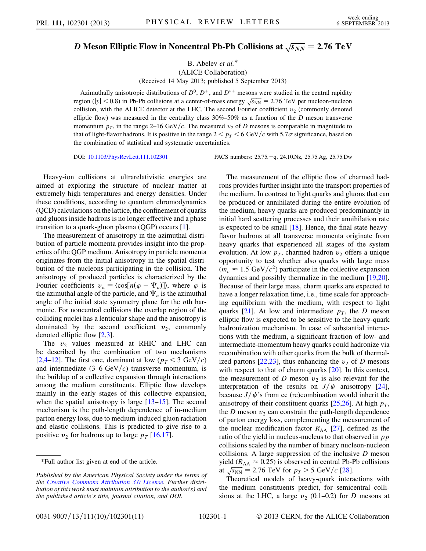## $\boldsymbol{D}$  Meson Elliptic Flow in Noncentral Pb-Pb Collisions at  $\sqrt{s_{NN}}=$  2.76 TeV

B. Abelev et al.\* (ALICE Collaboration)

(Received 14 May 2013; published 5 September 2013)

Azimuthally anisotropic distributions of  $D^0$ ,  $D^+$ , and  $D^{*+}$  mesons were studied in the central rapidity region (|y| < 0.8) in Pb-Pb collisions at a center-of-mass energy  $\sqrt{s_{NN}}$  = 2.76 TeV per nucleon-nucleon collision, with the ALICE detector at the LHC. The second Fourier coefficient  $v_2$  (commonly denoted elliptic flow) was measured in the centrality class  $30\% - 50\%$  as a function of the D meson transverse momentum  $p<sub>T</sub>$ , in the range 2–16 GeV/c. The measured  $v<sub>2</sub>$  of D mesons is comparable in magnitude to that of light-flavor hadrons. It is positive in the range  $2 < p_T < 6$  GeV/c with 5.7 $\sigma$  significance, based on the combination of statistical and systematic uncertainties.

DOI: [10.1103/PhysRevLett.111.102301](http://dx.doi.org/10.1103/PhysRevLett.111.102301)

PACS numbers: 25.75.-q, 24.10.Nz, 25.75.Ag, 25.75.Dw

Heavy-ion collisions at ultrarelativistic energies are aimed at exploring the structure of nuclear matter at extremely high temperatures and energy densities. Under these conditions, according to quantum chromodynamics (QCD) calculations on the lattice, the confinement of quarks and gluons inside hadrons is no longer effective and a phase transition to a quark-gluon plasma (QGP) occurs [\[1](#page-4-0)].

The measurement of anisotropy in the azimuthal distribution of particle momenta provides insight into the properties of the QGP medium. Anisotropy in particle momenta originates from the initial anisotropy in the spatial distribution of the nucleons participating in the collision. The anisotropy of produced particles is characterized by the Fourier coefficients  $v_n = \langle \cos[n(\varphi - \Psi_n)] \rangle$ , where  $\varphi$  is the azimuthal angle of the particle, and  $\Psi_n$  is the azimuthal angle of the initial state symmetry plane for the nth harmonic. For noncentral collisions the overlap region of the colliding nuclei has a lenticular shape and the anisotropy is dominated by the second coefficient  $v_2$ , commonly denoted elliptic flow [\[2,](#page-4-1)[3](#page-4-2)].

The  $v_2$  values measured at RHIC and LHC can be described by the combination of two mechanisms [\[2,](#page-4-1)[4](#page-4-3)–[12](#page-4-4)]. The first one, dominant at low ( $p_T < 3$  GeV/c) and intermediate  $(3-6 \text{ GeV}/c)$  transverse momentum, is the buildup of a collective expansion through interactions among the medium constituents. Elliptic flow develops mainly in the early stages of this collective expansion, when the spatial anisotropy is large [\[13–](#page-4-5)[15](#page-4-6)]. The second mechanism is the path-length dependence of in-medium parton energy loss, due to medium-induced gluon radiation and elastic collisions. This is predicted to give rise to a positive  $v_2$  for hadrons up to large  $p_T$  [\[16](#page-4-7)[,17\]](#page-4-8).

The measurement of the elliptic flow of charmed hadrons provides further insight into the transport properties of the medium. In contrast to light quarks and gluons that can be produced or annihilated during the entire evolution of the medium, heavy quarks are produced predominantly in initial hard scattering processes and their annihilation rate is expected to be small [\[18\]](#page-4-9). Hence, the final state heavyflavor hadrons at all transverse momenta originate from heavy quarks that experienced all stages of the system evolution. At low  $p<sub>T</sub>$ , charmed hadron  $v<sub>2</sub>$  offers a unique opportunity to test whether also quarks with large mass  $(m_c \approx 1.5 \text{ GeV}/c^2)$  participate in the collective expansion dynamics and possibly thermalize in the medium [\[19,](#page-4-10)[20\]](#page-4-11). Because of their large mass, charm quarks are expected to have a longer relaxation time, i.e., time scale for approaching equilibrium with the medium, with respect to light quarks [[21](#page-4-12)]. At low and intermediate  $p<sub>T</sub>$ , the D meson elliptic flow is expected to be sensitive to the heavy-quark hadronization mechanism. In case of substantial interactions with the medium, a significant fraction of low- and intermediate-momentum heavy quarks could hadronize via recombination with other quarks from the bulk of thermal-ized partons [[22](#page-4-13),[23](#page-5-0)], thus enhancing the  $v_2$  of D mesons with respect to that of charm quarks [\[20\]](#page-4-11). In this context, the measurement of D meson  $v_2$  is also relevant for the interpretation of the results on  $J/\psi$  anisotropy [[24\]](#page-5-1), because  $J/\psi$ 's from cc (re)combination would inherit the anisotropy of their constituent quarks [[25](#page-5-2),[26](#page-5-3)]. At high  $p_T$ , the D meson  $v_2$  can constrain the path-length dependence of parton energy loss, complementing the measurement of the nuclear modification factor  $R_{AA}$  [[27](#page-5-4)], defined as the ratio of the yield in nucleus-nucleus to that observed in  $p p$ collisions scaled by the number of binary nucleon-nucleon collisions. A large suppression of the inclusive  $D$  meson yield ( $R_{AA} \approx 0.25$ ) is observed in central Pb-Pb collisions at  $\sqrt{s_{NN}}$  = 2.76 TeV for  $p_T > 5$  GeV/c [\[28\]](#page-5-5).

Theoretical models of heavy-quark interactions with the medium constituents predict, for semicentral collisions at the LHC, a large  $v_2$  (0.1–0.2) for D mesons at

<sup>\*</sup>Full author list given at end of the article.

Published by the American Physical Society under the terms of the [Creative Commons Attribution 3.0 License.](http://creativecommons.org/licenses/by/3.0/) Further distribution of this work must maintain attribution to the author(s) and the published article's title, journal citation, and DOI.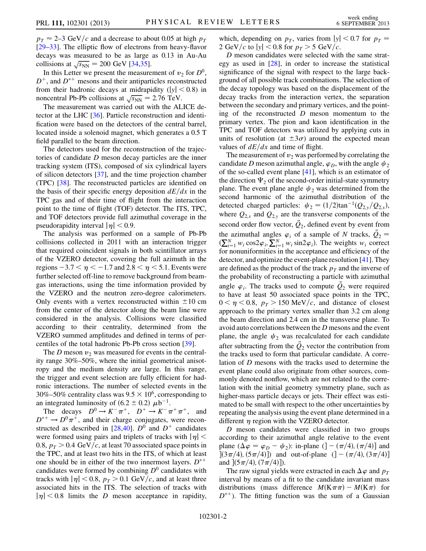$p_T \approx 2-3$  GeV/c and a decrease to about 0.05 at high  $p_T$ [\[29–](#page-5-6)[33\]](#page-5-7). The elliptic flow of electrons from heavy-flavor decays was measured to be as large as 0.13 in Au-Au collisions at  $\sqrt{s_{NN}}$  = 200 GeV [[34](#page-5-8),[35](#page-5-9)].

In this Letter we present the measurement of  $v_2$  for  $D^0$ ,  $D^+$ , and  $D^{*+}$  mesons and their antiparticles reconstructed from their hadronic decays at midrapidity ( $|y|$  < 0.8) in noncentral Pb-Pb collisions at  $\sqrt{s_{NN}} = 2.76$  TeV.

The measurement was carried out with the ALICE detector at the LHC [\[36\]](#page-5-10). Particle reconstruction and identification were based on the detectors of the central barrel, located inside a solenoid magnet, which generates a 0.5 T field parallel to the beam direction.

The detectors used for the reconstruction of the trajectories of candidate D meson decay particles are the inner tracking system (ITS), composed of six cylindrical layers of silicon detectors [\[37\]](#page-5-11), and the time projection chamber (TPC) [\[38\]](#page-5-12). The reconstructed particles are identified on the basis of their specific energy deposition  $dE/dx$  in the TPC gas and of their time of flight from the interaction point to the time of flight (TOF) detector. The ITS, TPC, and TOF detectors provide full azimuthal coverage in the pseudorapidity interval  $|\eta|$  < 0.9.

The analysis was performed on a sample of Pb-Pb collisions collected in 2011 with an interaction trigger that required coincident signals in both scintillator arrays of the VZERO detector, covering the full azimuth in the regions  $-3.7 < \eta < -1.7$  and  $2.8 < \eta < 5.1$ . Events were further selected off-line to remove background from beamgas interactions, using the time information provided by the VZERO and the neutron zero-degree calorimeters. Only events with a vertex reconstructed within  $\pm 10$  cm from the center of the detector along the beam line were considered in the analysis. Collisions were classified according to their centrality, determined from the VZERO summed amplitudes and defined in terms of percentiles of the total hadronic Pb-Pb cross section [\[39\]](#page-5-13).

The D meson  $v_2$  was measured for events in the centrality range 30%–50%, where the initial geometrical anisotropy and the medium density are large. In this range, the trigger and event selection are fully efficient for hadronic interactions. The number of selected events in the 30%–50% centrality class was  $9.5 \times 10^6$ , corresponding to an integrated luminosity of  $(6.2 \pm 0.2) \mu b^{-1}$ .

The decays  $D^0 \to K^- \pi^+$ ,  $D^+ \to K^- \pi^+ \pi^+$ , and  $D^{*+} \to D^0 \pi^+$ , and their charge conjugates, were recon-structed as described in [\[28](#page-5-5)[,40\]](#page-5-14).  $D^0$  and  $D^+$  candidates were formed using pairs and triplets of tracks with  $|\eta|$  < 0.8,  $p_T > 0.4 \text{ GeV}/c$ , at least 70 associated space points in the TPC, and at least two hits in the ITS, of which at least one should be in either of the two innermost layers.  $D^{*+}$ candidates were formed by combining  $D^0$  candidates with tracks with  $|\eta|$  < 0.8,  $p_T > 0.1$  GeV/c, and at least three associated hits in the ITS. The selection of tracks with  $|\eta|$  < 0.8 limits the *D* meson acceptance in rapidity, which, depending on  $p<sub>T</sub>$ , varies from  $|y| < 0.7$  for  $p<sub>T</sub> =$ 2 GeV/c to  $|y|$  < 0.8 for  $p<sub>T</sub>$  > 5 GeV/c.

D meson candidates were selected with the same strategy as used in [[28](#page-5-5)], in order to increase the statistical significance of the signal with respect to the large background of all possible track combinations. The selection of the decay topology was based on the displacement of the decay tracks from the interaction vertex, the separation between the secondary and primary vertices, and the pointing of the reconstructed  $D$  meson momentum to the primary vertex. The pion and kaon identification in the TPC and TOF detectors was utilized by applying cuts in units of resolution (at  $\pm 3\sigma$ ) around the expected mean values of  $dE/dx$  and time of flight.

The measurement of  $v_2$  was performed by correlating the candidate D meson azimuthal angle,  $\varphi_D$ , with the angle  $\psi_2$ of the so-called event plane [\[41\]](#page-5-15), which is an estimator of the direction  $\Psi_2$  of the second-order initial-state symmetry plane. The event plane angle  $\psi_2$  was determined from the second harmonic of the azimuthal distribution of the detected charged particles:  $\psi_2 = (1/2)\tan^{-1}(Q_{2,y}/Q_{2,x})$ , where  $Q_{2,x}$  and  $Q_{2,y}$  are the transverse components of the second order flow vector,  $\hat{Q}_2$ , defined event by event from the azimuthal angles  $\varphi_i$  of a sample of N tracks,  $\vec{Q}_2$  =  $(\sum_{i=1}^N w_i \cos 2\varphi_i, \sum_{i=1}^N w_i \sin 2\varphi_i)$ . The weights  $w_i$  correct for nonuniformities in the acceptance and efficiency of the detector, and optimize the event-plane resolution [\[41\]](#page-5-15). They are defined as the product of the track  $p_T$  and the inverse of the probability of reconstructing a particle with azimuthal angle  $\varphi_i$ . The tracks used to compute  $\hat{Q}_2$  were required to have at least 50 associated space points in the TPC,  $0 < \eta < 0.8$ ,  $p_T > 150$  MeV/c, and distance of closest approach to the primary vertex smaller than 3.2 cm along the beam direction and 2.4 cm in the transverse plane. To avoid auto correlations between the D mesons and the event plane, the angle  $\psi_2$  was recalculated for each candidate after subtracting from the  $\vec{Q}_2$  vector the contribution from the tracks used to form that particular candidate. A correlation of D mesons with the tracks used to determine the event plane could also originate from other sources, commonly denoted nonflow, which are not related to the correlation with the initial geometry symmetry plane, such as higher-mass particle decays or jets. Their effect was estimated to be small with respect to the other uncertainties by repeating the analysis using the event plane determined in a different  $\eta$  region with the VZERO detector.

D meson candidates were classified in two groups according to their azimuthal angle relative to the event plane  $(\Delta \varphi = \varphi_D - \psi_2)$ : in-plane  $($  $] - (\pi/4), (\pi/4)$ ] and  $\left[ (3\pi/4), (5\pi/4) \right]$  and out-of-plane  $\left( ] - \left( \pi/4 \right), (3\pi/4) \right]$ and  $[(5\pi/4), (7\pi/4)]$ .

The raw signal yields were extracted in each  $\Delta \varphi$  and  $p_T$ interval by means of a fit to the candidate invariant mass distributions (mass difference  $M(K\pi\pi) - M(K\pi)$  for  $D^{*+}$ ). The fitting function was the sum of a Gaussian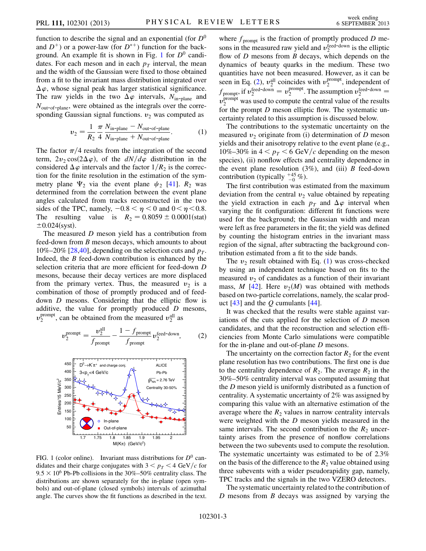function to describe the signal and an exponential (for  $D^0$ and  $D^+$ ) or a power-law (for  $D^{*+}$ ) function for the back-ground. An example fit is shown in Fig. [1](#page-2-0) for  $D^0$  candidates. For each meson and in each  $p<sub>T</sub>$  interval, the mean and the width of the Gaussian were fixed to those obtained from a fit to the invariant mass distribution integrated over  $\Delta \varphi$ , whose signal peak has larger statistical significance. The raw yields in the two  $\Delta \varphi$  intervals,  $N_{\text{in-plane}}$  and  $N_{\text{out-of-plane}}$ , were obtained as the integrals over the corresponding Gaussian signal functions.  $v_2$  was computed as

$$
v_2 = \frac{1}{R_2} \frac{\pi}{4} \frac{N_{\text{in-plane}} - N_{\text{out-of-plane}}}{N_{\text{in-plane}} + N_{\text{out-of-plane}}}.
$$
 (1)

<span id="page-2-2"></span>The factor  $\pi/4$  results from the integration of the second term,  $2v_2 \cos(2\Delta\varphi)$ , of the  $dN/d\varphi$  distribution in the considered  $\Delta \varphi$  intervals and the factor  $1/R_2$  is the correction for the finite resolution in the estimation of the symmetry plane  $\Psi_2$  via the event plane  $\psi_2$  [\[41\]](#page-5-15).  $R_2$  was determined from the correlation between the event plane angles calculated from tracks reconstructed in the two sides of the TPC, namely,  $-0.8 < \eta < 0$  and  $0 < \eta < 0.8$ . The resulting value is  $R_2 = 0.8059 \pm 0.0001 \text{(stat)}$  $\pm 0.024$ (syst).

The measured *D* meson yield has a contribution from feed-down from B meson decays, which amounts to about 10%–20% [\[28,](#page-5-5)[40\]](#page-5-14), depending on the selection cuts and  $p_T$ . Indeed, the B feed-down contribution is enhanced by the selection criteria that are more efficient for feed-down D mesons, because their decay vertices are more displaced from the primary vertex. Thus, the measured  $v_2$  is a combination of those of promptly produced and of feeddown D mesons. Considering that the elliptic flow is additive, the value for promptly produced  $D$  mesons,  $v_2^{\text{prompt}}$ , can be obtained from the measured  $v_2^{\text{all}}$  as

<span id="page-2-1"></span>
$$
v_2^{\text{prompt}} = \frac{v_2^{\text{all}}}{f_{\text{prompt}}} - \frac{1 - f_{\text{prompt}}}{f_{\text{prompt}}} v_2^{\text{feed-down}},\tag{2}
$$

<span id="page-2-0"></span>

FIG. 1 (color online). Invariant mass distributions for  $D^0$  candidates and their charge conjugates with  $3 < p_T < 4$  GeV/c for  $9.5 \times 10^6$  Pb-Pb collisions in the 30%–50% centrality class. The distributions are shown separately for the in-plane (open symbols) and out-of-plane (closed symbols) intervals of azimuthal angle. The curves show the fit functions as described in the text.

where  $f_{\text{prompt}}$  is the fraction of promptly produced D mesons in the measured raw yield and  $v_2^{\text{feed-down}}$  is the elliptic flow of  $D$  mesons from  $B$  decays, which depends on the dynamics of beauty quarks in the medium. These two quantities have not been measured. However, as it can be seen in Eq. [\(2\)](#page-2-1),  $v_2^{\text{all}}$  coincides with  $v_2^{\text{prompt}}$ , independent of  $f_{\text{prompt}}$ , if  $v_2^{\text{feed-down}} = v_2^{\text{prompt}}$ . The assumption  $v_2^{\text{feed-down}} =$  $v_2^{\text{prompt}}$  was used to compute the central value of the results for the prompt D meson elliptic flow. The systematic uncertainty related to this assumption is discussed below.

The contributions to the systematic uncertainty on the measured  $v_2$  originate from (i) determination of D meson yields and their anisotropy relative to the event plane (e.g., 10%–30% in  $4 < p<sub>T</sub> < 6$  GeV/c depending on the meson species), (ii) nonflow effects and centrality dependence in the event plane resolution  $(3\%)$ , and (iii) B feed-down contribution (typically  $^{+45}_{-0}$ %).

The first contribution was estimated from the maximum deviation from the central  $v_2$  value obtained by repeating the yield extraction in each  $p_T$  and  $\Delta \varphi$  interval when varying the fit configuration: different fit functions were used for the background; the Gaussian width and mean were left as free parameters in the fit; the yield was defined by counting the histogram entries in the invariant mass region of the signal, after subtracting the background contribution estimated from a fit to the side bands.

The  $v_2$  result obtained with Eq. ([1](#page-2-2)) was cross-checked by using an independent technique based on fits to the measured  $v_2$  of candidates as a function of their invariant mass, M [\[42\]](#page-5-16). Here  $v_2(M)$  was obtained with methods based on two-particle correlations, namely, the scalar product  $[43]$  and the Q cumulants  $[44]$ .

It was checked that the results were stable against variations of the cuts applied for the selection of D meson candidates, and that the reconstruction and selection efficiencies from Monte Carlo simulations were compatible for the in-plane and out-of-plane D mesons.

The uncertainty on the correction factor  $R_2$  for the event plane resolution has two contributions. The first one is due to the centrality dependence of  $R_2$ . The average  $R_2$  in the 30%–50% centrality interval was computed assuming that the D meson yield is uniformly distributed as a function of centrality. A systematic uncertainty of 2% was assigned by comparing this value with an alternative estimation of the average where the  $R_2$  values in narrow centrality intervals were weighted with the D meson yields measured in the same intervals. The second contribution to the  $R_2$  uncertainty arises from the presence of nonflow correlations between the two subevents used to compute the resolution. The systematic uncertainty was estimated to be of 2.3% on the basis of the difference to the  $R_2$  value obtained using three subevents with a wider pseudorapidity gap, namely, TPC tracks and the signals in the two VZERO detectors.

The systematic uncertainty related to the contribution of  $D$  mesons from  $B$  decays was assigned by varying the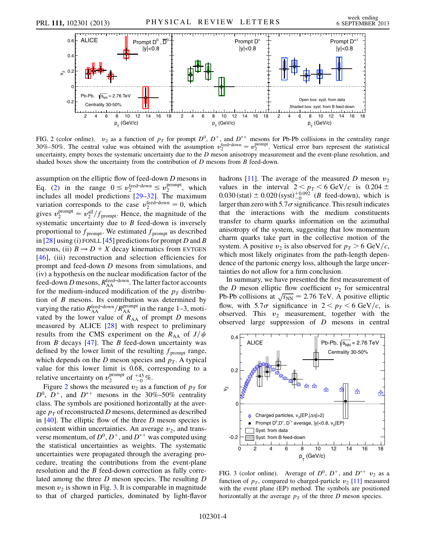<span id="page-3-0"></span>

FIG. 2 (color online).  $v_2$  as a function of  $p_T$  for prompt  $D^0$ ,  $D^+$ , and  $D^{*+}$  mesons for Pb-Pb collisions in the centrality range  $30\% - 50\%$ . The central value was obtained with the assumption  $v_2^{\text{feed-down}} = v_2^{\text{prompt}}$ . Vertical error bars represent the statistical uncertainty, empty boxes the systematic uncertainty due to the  $D$  meson anisotropy measurement and the event-plane resolution, and shaded boxes show the uncertainty from the contribution of D mesons from B feed-down.

assumption on the elliptic flow of feed-down D mesons in Eq. [\(2](#page-2-1)) in the range  $0 \le v_2^{\text{feed-down}} \le v_2^{\text{prompt}}$ , which includes all model predictions [[29–](#page-5-6)[32\]](#page-5-19). The maximum variation corresponds to the case  $v_2^{\text{feed-down}} = 0$ , which gives  $v_2^{\text{prompt}} = v_2^{\text{all}}/f_{\text{prompt}}$ . Hence, the magnitude of the systematic uncertainty due to  $B$  feed-down is inversely proportional to  $f_{\text{prompt}}$ . We estimated  $f_{\text{prompt}}$  as described in [[28](#page-5-5)] using (i) FONLL [[45\]](#page-5-20) predictions for prompt D and B mesons, (ii)  $B \rightarrow D + X$  decay kinematics from EVTGEN [[46](#page-5-21)], (iii) reconstruction and selection efficiencies for prompt and feed-down D mesons from simulations, and (iv) a hypothesis on the nuclear modification factor of the feed-down D mesons,  $R_{AA}^{\text{feed-down}}$ . The latter factor accounts for the medium-induced modification of the  $p<sub>T</sub>$  distribution of  $B$  mesons. Its contribution was determined by varying the ratio  $R_{\rm AA}^{\rm feed-down}/R_{\rm AA}^{\rm prompt}$  in the range 1–3, motivated by the lower value of  $R_{AA}$  of prompt D mesons measured by ALICE [\[28\]](#page-5-5) with respect to preliminary results from the CMS experiment on the  $R_{AA}$  of  $J/\psi$ from  $B$  decays [[47\]](#page-5-22). The  $B$  feed-down uncertainty was defined by the lower limit of the resulting  $f_{\text{prompt}}$  range, which depends on the D meson species and  $p_T$ . A typical value for this lower limit is 0.68, corresponding to a relative uncertainty on  $v_2^{\text{prompt}}$  of  $_{-0}^{+45}$ %.

Figure [2](#page-3-0) shows the measured  $v_2$  as a function of  $p_T$  for  $D^0$ ,  $D^+$ , and  $D^{*+}$  mesons in the 30%–50% centrality class. The symbols are positioned horizontally at the average  $p<sub>T</sub>$  of reconstructed D mesons, determined as described in  $[40]$  $[40]$ . The elliptic flow of the three D meson species is consistent within uncertainties. An average  $v_2$ , and transverse momentum, of  $D^0$ ,  $D^+$ , and  $D^{*+}$  was computed using the statistical uncertainties as weights. The systematic uncertainties were propagated through the averaging procedure, treating the contributions from the event-plane resolution and the B feed-down correction as fully correlated among the three D meson species. The resulting D meson  $v_2$  is shown in Fig. [3.](#page-3-1) It is comparable in magnitude to that of charged particles, dominated by light-flavor hadrons [[11\]](#page-4-14). The average of the measured D meson  $v_2$ values in the interval  $2 < p_T < 6$  GeV/c is 0.204  $\pm$ 0.030 (stat)  $\pm$  0.020 (syst) $\pm^{0.092}_{-0}$  (*B* feed-down), which is larger than zero with  $5.7\sigma$  significance. This result indicates that the interactions with the medium constituents transfer to charm quarks information on the azimuthal anisotropy of the system, suggesting that low momentum charm quarks take part in the collective motion of the system. A positive  $v_2$  is also observed for  $p_T > 6$  GeV/c, which most likely originates from the path-length dependence of the partonic energy loss, although the large uncertainties do not allow for a firm conclusion.

In summary, we have presented the first measurement of the D meson elliptic flow coefficient  $v_2$  for semicentral Pb-Pb collisions at  $\sqrt{s_{NN}}$  = 2.76 TeV. A positive elliptic flow, with  $5.7\sigma$  significance in  $2 < p_T < 6$  GeV/c, is observed. This  $v_2$  measurement, together with the observed large suppression of D mesons in central

<span id="page-3-1"></span>

FIG. 3 (color online). Average of  $D^0$ ,  $D^+$ , and  $D^{*+}$   $v_2$  as a function of  $p<sub>T</sub>$ , compared to charged-particle  $v<sub>2</sub>$  [\[11](#page-4-14)] measured with the event plane (EP) method. The symbols are positioned horizontally at the average  $p<sub>T</sub>$  of the three D meson species.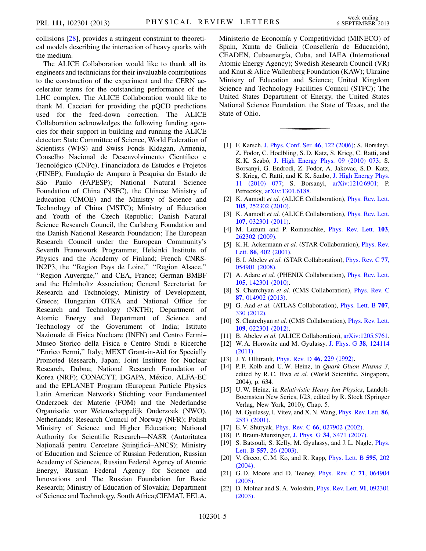collisions [[28](#page-5-5)], provides a stringent constraint to theoretical models describing the interaction of heavy quarks with the medium.

The ALICE Collaboration would like to thank all its engineers and technicians for their invaluable contributions to the construction of the experiment and the CERN accelerator teams for the outstanding performance of the LHC complex. The ALICE Collaboration would like to thank M. Cacciari for providing the pQCD predictions used for the feed-down correction. The ALICE Collaboration acknowledges the following funding agencies for their support in building and running the ALICE detector: State Committee of Science, World Federation of Scientists (WFS) and Swiss Fonds Kidagan, Armenia, Conselho Nacional de Desenvolvimento Científico e Tecnológico (CNPq), Financiadora de Estudos e Projetos (FINEP), Fundação de Amparo à Pesquisa do Estado de São Paulo (FAPESP); National Natural Science Foundation of China (NSFC), the Chinese Ministry of Education (CMOE) and the Ministry of Science and Technology of China (MSTC); Ministry of Education and Youth of the Czech Republic; Danish Natural Science Research Council, the Carlsberg Foundation and the Danish National Research Foundation; The European Research Council under the European Community's Seventh Framework Programme; Helsinki Institute of Physics and the Academy of Finland; French CNRS-IN2P3, the ''Region Pays de Loire,'' ''Region Alsace,'' ''Region Auvergne,'' and CEA, France; German BMBF and the Helmholtz Association; General Secretariat for Research and Technology, Ministry of Development, Greece; Hungarian OTKA and National Office for Research and Technology (NKTH); Department of Atomic Energy and Department of Science and Technology of the Government of India; Istituto Nazionale di Fisica Nucleare (INFN) and Centro Fermi– Museo Storico della Fisica e Centro Studi e Ricerche ''Enrico Fermi,'' Italy; MEXT Grant-in-Aid for Specially Promoted Research, Japan; Joint Institute for Nuclear Research, Dubna; National Research Foundation of Korea (NRF); CONACYT, DGAPA, México, ALFA-EC and the EPLANET Program (European Particle Physics Latin American Network) Stichting voor Fundamenteel Onderzoek der Materie (FOM) and the Nederlandse Organisatie voor Wetenschappelijk Onderzoek (NWO), Netherlands; Research Council of Norway (NFR); Polish Ministry of Science and Higher Education; National Authority for Scientific Research—NASR (Autoritatea Natională pentru Cercetare Științifică–ANCS); Ministry of Education and Science of Russian Federation, Russian Academy of Sciences, Russian Federal Agency of Atomic Energy, Russian Federal Agency for Science and Innovations and The Russian Foundation for Basic Research; Ministry of Education of Slovakia; Department of Science and Technology, South Africa;CIEMAT, EELA,

Ministerio de Economía y Competitividad (MINECO) of Spain, Xunta de Galicia (Consellería de Educación), CEADEN, Cubaenergía, Cuba, and IAEA (International Atomic Energy Agency); Swedish Research Council (VR) and Knut & Alice Wallenberg Foundation (KAW); Ukraine Ministry of Education and Science; United Kingdom Science and Technology Facilities Council (STFC); The United States Department of Energy, the United States National Science Foundation, the State of Texas, and the State of Ohio.

- <span id="page-4-0"></span>[1] F. Karsch, [J. Phys. Conf. Ser.](http://dx.doi.org/10.1088/1742-6596/46/1/017) 46, 122 (2006); S. Borsányi, Z. Fodor, C. Hoelbling, S. D. Katz, S. Krieg, C. Ratti, and K. K. Szabó, [J. High Energy Phys. 09 \(2010\) 073;](http://dx.doi.org/10.1007/JHEP09(2010)073) S. Borsanyi, G. Endrodi, Z. Fodor, A. Jakovac, S. D. Katz, S. Krieg, C. Ratti, and K. K. Szabo, [J. High Energy Phys.](http://dx.doi.org/10.1007/JHEP11(2010)077) [11 \(2010\) 077](http://dx.doi.org/10.1007/JHEP11(2010)077); S. Borsanyi, [arXiv:1210.6901;](http://arXiv.org/abs/1210.6901) P. Petreczky, [arXiv:1301.6188.](http://arXiv.org/abs/1301.6188)
- <span id="page-4-1"></span>[2] K. Aamodt et al. (ALICE Collaboration), *[Phys. Rev. Lett.](http://dx.doi.org/10.1103/PhysRevLett.105.252302)* 105[, 252302 \(2010\)](http://dx.doi.org/10.1103/PhysRevLett.105.252302).
- <span id="page-4-2"></span>[3] K. Aamodt et al. (ALICE Collaboration), *[Phys. Rev. Lett.](http://dx.doi.org/10.1103/PhysRevLett.107.032301)* 107[, 032301 \(2011\)](http://dx.doi.org/10.1103/PhysRevLett.107.032301).
- <span id="page-4-3"></span>[4] M. Luzum and P. Romatschke, *[Phys. Rev. Lett.](http://dx.doi.org/10.1103/PhysRevLett.103.262302)* 103, [262302 \(2009\).](http://dx.doi.org/10.1103/PhysRevLett.103.262302)
- [5] K. H. Ackermann et al. (STAR Collaboration), *[Phys. Rev.](http://dx.doi.org/10.1103/PhysRevLett.86.402)* Lett. 86[, 402 \(2001\).](http://dx.doi.org/10.1103/PhysRevLett.86.402)
- [6] B. I. Abelev et al. (STAR Collaboration), *[Phys. Rev. C](http://dx.doi.org/10.1103/PhysRevC.77.054901) 77,* [054901 \(2008\).](http://dx.doi.org/10.1103/PhysRevC.77.054901)
- [7] A. Adare et al. (PHENIX Collaboration), *[Phys. Rev. Lett.](http://dx.doi.org/10.1103/PhysRevLett.105.142301)* 105[, 142301 \(2010\)](http://dx.doi.org/10.1103/PhysRevLett.105.142301).
- [8] S. Chatrchyan et al. (CMS Collaboration), *[Phys. Rev. C](http://dx.doi.org/10.1103/PhysRevC.87.014902)* 87[, 014902 \(2013\)](http://dx.doi.org/10.1103/PhysRevC.87.014902).
- [9] G. Aad et al. (ATLAS Collaboration), [Phys. Lett. B](http://dx.doi.org/10.1016/j.physletb.2011.12.056) 707, [330 \(2012\)](http://dx.doi.org/10.1016/j.physletb.2011.12.056).
- [10] S. Chatrchyan et al. (CMS Collaboration), *[Phys. Rev. Lett.](http://dx.doi.org/10.1103/PhysRevLett.109.022301)* 109[, 022301 \(2012\)](http://dx.doi.org/10.1103/PhysRevLett.109.022301).
- <span id="page-4-14"></span><span id="page-4-4"></span>[11] B. Abelev et al. (ALICE Collaboration), [arXiv:1205.5761.](http://arXiv.org/abs/1205.5761)
- [12] W. A. Horowitz and M. Gyulassy, [J. Phys. G](http://dx.doi.org/10.1088/0954-3899/38/12/124114) 38, 124114 [\(2011\)](http://dx.doi.org/10.1088/0954-3899/38/12/124114).
- <span id="page-4-5"></span>[13] J. Y. Ollitrault, *[Phys. Rev. D](http://dx.doi.org/10.1103/PhysRevD.46.229)* **46**, 229 (1992).
- [14] P.F. Kolb and U.W. Heinz, in Quark Gluon Plasma 3, edited by R.C. Hwa et al. (World Scientific, Singapore, 2004), p. 634.
- <span id="page-4-6"></span>[15] U.W. Heinz, in Relativistic Heavy Ion Physics, Landolt-Boernstein New Series, I/23, edited by R. Stock (Springer Verlag, New York, 2010), Chap. 5.
- <span id="page-4-7"></span>[16] M. Gyulassy, I. Vitev, and X. N. Wang, *[Phys. Rev. Lett.](http://dx.doi.org/10.1103/PhysRevLett.86.2537)* **86**, [2537 \(2001\)](http://dx.doi.org/10.1103/PhysRevLett.86.2537).
- <span id="page-4-9"></span><span id="page-4-8"></span>[17] E.V. Shuryak, *Phys. Rev. C* 66[, 027902 \(2002\)](http://dx.doi.org/10.1103/PhysRevC.66.027902).
- <span id="page-4-10"></span>[18] P. Braun-Munzinger, J. Phys. G 34[, S471 \(2007\).](http://dx.doi.org/10.1088/0954-3899/34/8/S36)
- [19] S. Batsouli, S. Kelly, M. Gyulassy, and J. L. Nagle, [Phys.](http://dx.doi.org/10.1016/S0370-2693(03)00175-8) Lett. B 557[, 26 \(2003\)](http://dx.doi.org/10.1016/S0370-2693(03)00175-8).
- <span id="page-4-11"></span>[20] V. Greco, C. M. Ko, and R. Rapp, *[Phys. Lett. B](http://dx.doi.org/10.1016/j.physletb.2004.06.064)* 595, 202 [\(2004\)](http://dx.doi.org/10.1016/j.physletb.2004.06.064).
- <span id="page-4-12"></span>[21] G.D. Moore and D. Teaney, *[Phys. Rev. C](http://dx.doi.org/10.1103/PhysRevC.71.064904)* **71**, 064904  $(2005)$ .
- <span id="page-4-13"></span>[22] D. Molnar and S. A. Voloshin, *[Phys. Rev. Lett.](http://dx.doi.org/10.1103/PhysRevLett.91.092301)* **91**, 092301 [\(2003\)](http://dx.doi.org/10.1103/PhysRevLett.91.092301).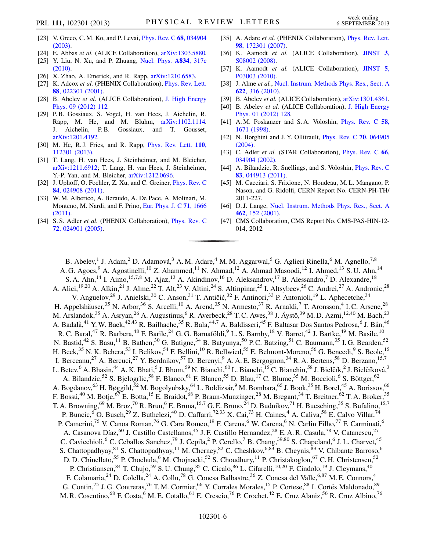- <span id="page-5-0"></span>[23] V. Greco, C. M. Ko, and P. Levai, *[Phys. Rev. C](http://dx.doi.org/10.1103/PhysRevC.68.034904)* 68, 034904 [\(2003\)](http://dx.doi.org/10.1103/PhysRevC.68.034904).
- <span id="page-5-1"></span>[24] E. Abbas et al. (ALICE Collaboration), [arXiv:1303.5880.](http://arXiv.org/abs/1303.5880)
- <span id="page-5-2"></span>[25] Y. Liu, N. Xu, and P. Zhuang, [Nucl. Phys.](http://dx.doi.org/10.1016/j.nuclphysa.2010.01.008) A834, 317c [\(2010\)](http://dx.doi.org/10.1016/j.nuclphysa.2010.01.008).
- <span id="page-5-3"></span>[26] X. Zhao, A. Emerick, and R. Rapp, [arXiv:1210.6583.](http://arXiv.org/abs/1210.6583)
- <span id="page-5-4"></span>[27] K. Adcox et al. (PHENIX Collaboration), [Phys. Rev. Lett.](http://dx.doi.org/10.1103/PhysRevLett.88.022301) 88[, 022301 \(2001\)](http://dx.doi.org/10.1103/PhysRevLett.88.022301).
- <span id="page-5-5"></span>[28] B. Abelev et al. (ALICE Collaboration), [J. High Energy](http://dx.doi.org/10.1007/JHEP09(2012)112) [Phys. 09 \(2012\) 112.](http://dx.doi.org/10.1007/JHEP09(2012)112)
- <span id="page-5-6"></span>[29] P. B. Gossiaux, S. Vogel, H. van Hees, J. Aichelin, R. Rapp, M. He, and M. Bluhm, [arXiv:1102.1114.](http://arXiv.org/abs/1102.1114) J. Aichelin, P.B. Gossiaux, and T. Gousset, [arXiv:1201.4192.](http://arXiv.org/abs/1201.4192)
- [30] M. He, R.J. Fries, and R. Rapp, *[Phys. Rev. Lett.](http://dx.doi.org/10.1103/PhysRevLett.110.112301)* **110**, [112301 \(2013\)](http://dx.doi.org/10.1103/PhysRevLett.110.112301).
- [31] T. Lang, H. van Hees, J. Steinheimer, and M. Bleicher, [arXiv:1211.6912](http://arXiv.org/abs/1211.6912); T. Lang, H. van Hees, J. Steinheimer, Y.-P. Yan, and M. Bleicher, [arXiv:1212.0696.](http://arXiv.org/abs/1212.0696)
- <span id="page-5-19"></span>[32] J. Uphoff, O. Fochler, Z. Xu, and C. Greiner, *[Phys. Rev. C](http://dx.doi.org/10.1103/PhysRevC.84.024908)* 84[, 024908 \(2011\)](http://dx.doi.org/10.1103/PhysRevC.84.024908).
- <span id="page-5-7"></span>[33] W. M. Alberico, A. Beraudo, A. De Pace, A. Molinari, M. Monteno, M. Nardi, and F. Prino, [Eur. Phys. J. C](http://dx.doi.org/10.1140/epjc/s10052-011-1666-6) 71, 1666 [\(2011\)](http://dx.doi.org/10.1140/epjc/s10052-011-1666-6).
- <span id="page-5-8"></span>[34] S. S. Adler et al. (PHENIX Collaboration), [Phys. Rev. C](http://dx.doi.org/10.1103/PhysRevC.72.024901) 72[, 024901 \(2005\)](http://dx.doi.org/10.1103/PhysRevC.72.024901).
- <span id="page-5-9"></span>[35] A. Adare et al. (PHENIX Collaboration), [Phys. Rev. Lett.](http://dx.doi.org/10.1103/PhysRevLett.98.172301) 98[, 172301 \(2007\)](http://dx.doi.org/10.1103/PhysRevLett.98.172301).
- <span id="page-5-10"></span>[36] K. Aamodt et al. (ALICE Collaboration), [JINST](http://dx.doi.org/10.1088/1748-0221/3/08/S08002) 3, [S08002 \(2008\).](http://dx.doi.org/10.1088/1748-0221/3/08/S08002)
- <span id="page-5-11"></span>[37] K. Aamodt et al. (ALICE Collaboration), [JINST](http://dx.doi.org/10.1088/1748-0221/5/03/P03003) 5, [P03003 \(2010\).](http://dx.doi.org/10.1088/1748-0221/5/03/P03003)
- <span id="page-5-12"></span>[38] J. Alme et al., [Nucl. Instrum. Methods Phys. Res., Sect. A](http://dx.doi.org/10.1016/j.nima.2010.04.042) 622[, 316 \(2010\).](http://dx.doi.org/10.1016/j.nima.2010.04.042)
- <span id="page-5-13"></span>[39] B. Abelev et al. (ALICE Collaboration), [arXiv:1301.4361.](http://arXiv.org/abs/1301.4361)
- <span id="page-5-14"></span>[40] B. Abelev et al. (ALICE Collaboration), [J. High Energy](http://dx.doi.org/10.1007/JHEP01(2012)128) [Phys. 01 \(2012\) 128.](http://dx.doi.org/10.1007/JHEP01(2012)128)
- <span id="page-5-15"></span>[41] A. M. Poskanzer and S. A. Voloshin, [Phys. Rev. C](http://dx.doi.org/10.1103/PhysRevC.58.1671) 58, [1671 \(1998\)](http://dx.doi.org/10.1103/PhysRevC.58.1671).
- <span id="page-5-16"></span>[42] N. Borghini and J. Y. Ollitrault, *[Phys. Rev. C](http://dx.doi.org/10.1103/PhysRevC.70.064905)* **70**, 064905 [\(2004\)](http://dx.doi.org/10.1103/PhysRevC.70.064905).
- <span id="page-5-17"></span>[43] C. Adler et al. (STAR Collaboration), *[Phys. Rev. C](http://dx.doi.org/10.1103/PhysRevC.66.034904)* 66, [034904 \(2002\).](http://dx.doi.org/10.1103/PhysRevC.66.034904)
- <span id="page-5-18"></span>[44] A. Bilandzic, R. Snellings, and S. Voloshin, *[Phys. Rev. C](http://dx.doi.org/10.1103/PhysRevC.83.044913)* 83[, 044913 \(2011\)](http://dx.doi.org/10.1103/PhysRevC.83.044913).
- <span id="page-5-20"></span>[45] M. Cacciari, S. Frixione, N. Houdeau, M. L. Mangano, P. Nason, and G. Ridolfi, CERN Report No. CERN-PH-TH/ 2011-227.
- <span id="page-5-21"></span>[46] D.J. Lange, [Nucl. Instrum. Methods Phys. Res., Sect. A](http://dx.doi.org/10.1016/S0168-9002(01)00089-4) 462[, 152 \(2001\).](http://dx.doi.org/10.1016/S0168-9002(01)00089-4)
- <span id="page-5-22"></span>[47] CMS Collaboration, CMS Report No. CMS-PAS-HIN-12- 014, 2012.

B. Abelev,<sup>1</sup> J. Adam,<sup>2</sup> D. Adamová,<sup>3</sup> A.M. Adare,<sup>4</sup> M.M. Aggarwal,<sup>5</sup> G. Aglieri Rinella,<sup>6</sup> M. Agnello,<sup>7,8</sup> A. G. Agocs,<sup>9</sup> A. Agostinelli,<sup>10</sup> Z. Ahammed,<sup>11</sup> N. Ahmad,<sup>12</sup> A. Ahmad Masoodi,<sup>12</sup> I. Ahmed,<sup>13</sup> S. U. Ahn,<sup>14</sup> S. A. Ahn,<sup>14</sup> I. Aimo,<sup>15,7,8</sup> M. Ajaz,<sup>13</sup> A. Akindinov,<sup>16</sup> D. Aleksandrov,<sup>17</sup> B. Alessandro,<sup>7</sup> D. Alexandre,<sup>18</sup> A. Alici,<sup>19,20</sup> A. Alkin,<sup>21</sup> J. Alme,<sup>22</sup> T. Alt,<sup>23</sup> V. Altini,<sup>24</sup> S. Altinpinar,<sup>25</sup> I. Altsybeev,<sup>26</sup> C. Andrei,<sup>27</sup> A. Andronic,<sup>28</sup> V. Anguelov,<sup>29</sup> J. Anielski,<sup>30</sup> C. Anson,<sup>31</sup> T. Antičić,<sup>32</sup> F. Antinori,<sup>33</sup> P. Antonioli,<sup>19</sup> L. Aphecetche,<sup>34</sup> H. Appelshäuser,<sup>35</sup> N. Arbor,<sup>36</sup> S. Arcelli,<sup>10</sup> A. Arend,<sup>35</sup> N. Armesto,<sup>37</sup> R. Arnaldi,<sup>7</sup> T. Aronsson,<sup>4</sup> I.C. Arsene,<sup>28</sup> M. Arslandok,<sup>35</sup> A. Asryan,<sup>26</sup> A. Augustinus,<sup>6</sup> R. Averbeck,<sup>28</sup> T. C. Awes,<sup>38</sup> J. Äystö,<sup>39</sup> M. D. Azmi,<sup>12,40</sup> M. Bach,<sup>23</sup> A. Badalà,<sup>41</sup> Y.W. Baek,<sup>42,43</sup> R. Bailhache,<sup>35</sup> R. Bala,<sup>44,7</sup> A. Baldisseri,<sup>45</sup> F. Baltasar Dos Santos Pedrosa,<sup>6</sup> J. Bán,<sup>46</sup> R. C. Baral,<sup>47</sup> R. Barbera,<sup>48</sup> F. Barile,<sup>24</sup> G. G. Barnaföldi,<sup>9</sup> L. S. Barnby,<sup>18</sup> V. Barret,<sup>42</sup> J. Bartke,<sup>49</sup> M. Basile,<sup>10</sup> N. Bastid,<sup>42</sup> S. Basu,<sup>11</sup> B. Bathen,<sup>30</sup> G. Batigne,<sup>34</sup> B. Batyunya,<sup>50</sup> P.C. Batzing,<sup>51</sup> C. Baumann,<sup>35</sup> I. G. Bearden,<sup>52</sup> H. Beck,<sup>35</sup> N. K. Behera,<sup>53</sup> I. Belikov,<sup>54</sup> F. Bellini,<sup>10</sup> R. Bellwied,<sup>55</sup> E. Belmont-Moreno,<sup>56</sup> G. Bencedi,<sup>9</sup> S. Beole,<sup>15</sup> I. Berceanu,<sup>27</sup> A. Bercuci,<sup>27</sup> Y. Berdnikov,<sup>57</sup> D. Berenyi,<sup>9</sup> A. A. E. Bergognon,<sup>34</sup> R. A. Bertens,<sup>58</sup> D. Berzano,<sup>15,7</sup> L. Betev, <sup>6</sup> A. Bhasin, <sup>44</sup> A. K. Bhati, 5 J. Bhom, 59 N. Bianchi, <sup>60</sup> L. Bianchi, <sup>15</sup> C. Bianchin, 58 J. Bielčík, 2 J. Bielčíková, 3 A. Bilandzic,<sup>52</sup> S. Bjelogrlic,<sup>58</sup> F. Blanco,<sup>61</sup> F. Blanco,<sup>55</sup> D. Blau,<sup>17</sup> C. Blume,<sup>35</sup> M. Boccioli,<sup>6</sup> S. Böttger,<sup>62</sup> A. Bogdanov,<sup>63</sup> H. Bøggild,<sup>52</sup> M. Bogolyubsky,<sup>64</sup> L. Boldizsár,<sup>9</sup> M. Bombara,<sup>65</sup> J. Book,<sup>35</sup> H. Borel,<sup>45</sup> A. Borissov,<sup>66</sup> F. Bossú,<sup>40</sup> M. Botje,<sup>67</sup> E. Botta,<sup>15</sup> E. Braidot,<sup>68</sup> P. Braun-Munzinger,<sup>28</sup> M. Bregant,<sup>34</sup> T. Breitner,<sup>62</sup> T. A. Broker,<sup>35</sup> T. A. Browning, <sup>69</sup> M. Broz, <sup>70</sup> R. Brun, <sup>6</sup> E. Bruna, <sup>15,7</sup> G. E. Bruno,  $^{24}$  D. Budnikov, <sup>71</sup> H. Buesching, <sup>35</sup> S. Bufalino, <sup>15,7</sup> P. Buncic,<sup>6</sup> O. Busch,<sup>29</sup> Z. Buthelezi,<sup>40</sup> D. Caffarri,<sup>72,33</sup> X. Cai,<sup>73</sup> H. Caines,<sup>4</sup> A. Caliva,<sup>58</sup> E. Calvo Villar,<sup>74</sup> P. Camerini,<sup>75</sup> V. Canoa Roman,<sup>76</sup> G. Cara Romeo,<sup>19</sup> F. Carena,<sup>6</sup> W. Carena,<sup>6</sup> N. Carlin Filho,<sup>77</sup> F. Carminati,<sup>6</sup> A. Casanova Díaz,<sup>60</sup> J. Castillo Castellanos,<sup>45</sup> J. F. Castillo Hernandez,<sup>28</sup> E. A. R. Casula,<sup>78</sup> V. Catanescu,<sup>27</sup> C. Cavicchioli,<sup>6</sup> C. Ceballos Sanchez,<sup>79</sup> J. Cepila,<sup>2</sup> P. Cerello,<sup>7</sup> B. Chang,<sup>39,80</sup> S. Chapeland,<sup>6</sup> J. L. Charvet,<sup>45</sup> S. Chattopadhyay, <sup>81</sup> S. Chattopadhyay, <sup>11</sup> M. Cherney, <sup>82</sup> C. Cheshkov, <sup>6,83</sup> B. Cheynis, <sup>83</sup> V. Chibante Barroso, <sup>6</sup> D. D. Chinellato,<sup>55</sup> P. Chochula,<sup>6</sup> M. Chojnacki,<sup>52</sup> S. Choudhury,<sup>11</sup> P. Christakoglou,<sup>67</sup> C. H. Christensen,<sup>52</sup> P. Christiansen, <sup>84</sup> T. Chujo, <sup>59</sup> S. U. Chung, <sup>85</sup> C. Cicalo, <sup>86</sup> L. Cifarelli, <sup>10,20</sup> F. Cindolo, <sup>19</sup> J. Cleymans, <sup>40</sup> F. Colamaria,<sup>24</sup> D. Colella,<sup>24</sup> A. Collu,<sup>78</sup> G. Conesa Balbastre,<sup>36</sup> Z. Conesa del Valle,<sup>6,87</sup> M. E. Connors,<sup>4</sup> G. Contin,<sup>75</sup> J. G. Contreras,<sup>76</sup> T. M. Cormier,<sup>66</sup> Y. Corrales Morales,<sup>15</sup> P. Cortese,<sup>88</sup> I. Cortés Maldonado,<sup>89</sup> M. R. Cosentino,<sup>68</sup> F. Costa,<sup>6</sup> M. E. Cotallo,<sup>61</sup> E. Crescio,<sup>76</sup> P. Crochet,<sup>42</sup> E. Cruz Alaniz,<sup>56</sup> R. Cruz Albino,<sup>76</sup>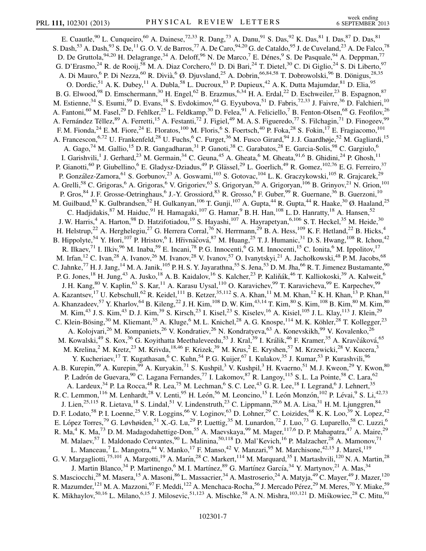E. Cuautle, <sup>90</sup> L. Cunqueiro, <sup>60</sup> A. Dainese, <sup>72,33</sup> R. Dang, <sup>73</sup> A. Danu, <sup>91</sup> S. Das, <sup>92</sup> K. Das, <sup>81</sup> I. Das, <sup>87</sup> D. Das, <sup>81</sup> S. Dash,<sup>53</sup> A. Dash, $^{93}$  S. De, $^{11}$  G. O. V. de Barros, $^{77}$  A. De Caro, $^{94,20}$  G. de Cataldo, $^{95}$  J. de Cuveland, $^{23}$  A. De Falco, $^{78}$ D. De Gruttola, <sup>94,20</sup> H. Delagrange, <sup>34</sup> A. Deloff, <sup>96</sup> N. De Marco, <sup>7</sup> E. Dénes, <sup>9</sup> S. De Pasquale, <sup>94</sup> A. Deppman, <sup>77</sup> G. D'Erasmo,<sup>24</sup> R. de Rooij,<sup>58</sup> M. A. Diaz Corchero,<sup>61</sup> D. Di Bari,<sup>24</sup> T. Dietel,<sup>30</sup> C. Di Giglio,<sup>24</sup> S. Di Liberto,<sup>97</sup> A. Di Mauro, <sup>6</sup> P. Di Nezza, <sup>60</sup> R. Divià, <sup>6</sup> Ø. Djuvsland, <sup>25</sup> A. Dobrin, <sup>66,84,58</sup> T. Dobrowolski, <sup>96</sup> B. Dönigus, <sup>28,35</sup> O. Dordic,<sup>51</sup> A. K. Dubey,<sup>11</sup> A. Dubla,<sup>58</sup> L. Ducroux,<sup>83</sup> P. Dupieux,<sup>42</sup> A. K. Dutta Majumdar,<sup>81</sup> D. Elia,<sup>95</sup> B. G. Elwood,<sup>98</sup> D. Emschermann,<sup>30</sup> H. Engel,<sup>62</sup> B. Erazmus,<sup>6,34</sup> H. A. Erdal,<sup>22</sup> D. Eschweiler,<sup>23</sup> B. Espagnon,<sup>87</sup> M. Estienne,<sup>34</sup> S. Esumi,<sup>59</sup> D. Evans,<sup>18</sup> S. Evdokimov,<sup>64</sup> G. Eyyubova,<sup>51</sup> D. Fabris,<sup>72,33</sup> J. Faivre,<sup>36</sup> D. Falchieri,<sup>10</sup> A. Fantoni,<sup>60</sup> M. Fasel,<sup>29</sup> D. Fehlker,<sup>25</sup> L. Feldkamp,<sup>30</sup> D. Felea,<sup>91</sup> A. Feliciello,<sup>7</sup> B. Fenton-Olsen,<sup>68</sup> G. Feofilov,<sup>26</sup> A. Fernández Téllez,<sup>89</sup> A. Ferretti,<sup>15</sup> A. Festanti,<sup>72</sup> J. Figiel,<sup>49</sup> M. A. S. Figueredo,<sup>77</sup> S. Filchagin,<sup>71</sup> D. Finogeev,<sup>99</sup> F. M. Fionda,<sup>24</sup> E. M. Fiore,<sup>24</sup> E. Floratos,<sup>100</sup> M. Floris,<sup>6</sup> S. Foertsch,<sup>40</sup> P. Foka,<sup>28</sup> S. Fokin,<sup>17</sup> E. Fragiacomo,<sup>101</sup> A. Francescon,<sup>6,72</sup> U. Frankenfeld,<sup>28</sup> U. Fuchs,<sup>6</sup> C. Furget,<sup>36</sup> M. Fusco Girard,<sup>94</sup> J. J. Gaardhøje,<sup>52</sup> M. Gagliardi,<sup>15</sup> A. Gago,<sup>74</sup> M. Gallio,<sup>15</sup> D. R. Gangadharan,<sup>31</sup> P. Ganoti,<sup>38</sup> C. Garabatos,<sup>28</sup> E. Garcia-Solis,<sup>98</sup> C. Gargiulo,<sup>6</sup> I. Garishvili,<sup>1</sup> J. Gerhard,<sup>23</sup> M. Germain,<sup>34</sup> C. Geuna,<sup>45</sup> A. Gheata,<sup>6</sup> M. Gheata,<sup>91,6</sup> B. Ghidini,<sup>24</sup> P. Ghosh,<sup>11</sup> P. Gianotti,<sup>60</sup> P. Giubellino,<sup>6</sup> E. Gladysz-Dziadus,<sup>49</sup> P. Glässel,<sup>29</sup> L. Goerlich,<sup>49</sup> R. Gomez, <sup>102,76</sup> E. G. Ferreiro,<sup>37</sup> P. González-Zamora, <sup>61</sup> S. Gorbunov, <sup>23</sup> A. Goswami, <sup>103</sup> S. Gotovac, <sup>104</sup> L. K. Graczykowski, <sup>105</sup> R. Grajcarek, <sup>29</sup> A. Grelli,<sup>58</sup> C. Grigoras,<sup>6</sup> A. Grigoras,<sup>6</sup> V. Grigoriev,<sup>63</sup> S. Grigoryan,<sup>50</sup> A. Grigoryan,<sup>106</sup> B. Grinyov,<sup>21</sup> N. Grion,<sup>101</sup> P. Gros,<sup>84</sup> J. F. Grosse-Oetringhaus,<sup>6</sup> J.-Y. Grossiord,<sup>83</sup> R. Grosso,<sup>6</sup> F. Guber,<sup>99</sup> R. Guernane,<sup>36</sup> B. Guerzoni,<sup>10</sup> M. Guilbaud,<sup>83</sup> K. Gulbrandsen,<sup>52</sup> H. Gulkanyan,<sup>106</sup> T. Gunji,<sup>107</sup> A. Gupta,<sup>44</sup> R. Gupta,<sup>44</sup> R. Haake,<sup>30</sup> Ø. Haaland,<sup>25</sup> C. Hadjidakis,  $^{87}$  M. Haiduc,  $^{91}$  H. Hamagaki,  $^{107}$  G. Hamar,  $^{9}$  B. H. Han,  $^{108}$  L. D. Hanratty,  $^{18}$  A. Hansen,  $^{52}$ J. W. Harris,<sup>4</sup> A. Harton,<sup>98</sup> D. Hatzifotiadou,<sup>19</sup> S. Hayashi,<sup>107</sup> A. Hayrapetyan,<sup>6,106</sup> S. T. Heckel,<sup>35</sup> M. Heide,<sup>30</sup> H. Helstrup,<sup>22</sup> A. Herghelegiu,<sup>27</sup> G. Herrera Corral,<sup>76</sup> N. Herrmann,<sup>29</sup> B. A. Hess,<sup>109</sup> K. F. Hetland,<sup>22</sup> B. Hicks,<sup>4</sup> B. Hippolyte,<sup>54</sup> Y. Hori,<sup>107</sup> P. Hristov,<sup>6</sup> I. Hřivnáčová,<sup>87</sup> M. Huang,<sup>25</sup> T. J. Humanic,<sup>31</sup> D. S. Hwang,<sup>108</sup> R. Ichou,<sup>42</sup> R. Ilkaev,<sup>71</sup> I. Ilkiv,<sup>96</sup> M. Inaba,<sup>59</sup> E. Incani,<sup>78</sup> P. G. Innocenti,<sup>6</sup> G. M. Innocenti,<sup>15</sup> C. Ionita,<sup>6</sup> M. Ippolitov,<sup>17</sup> M. Irfan,<sup>12</sup> C. Ivan,<sup>28</sup> A. Ivanov,<sup>26</sup> M. Ivanov,<sup>28</sup> V. Ivanov,<sup>57</sup> O. Ivanytskyi,<sup>21</sup> A. Jachołkowski,<sup>48</sup> P.M. Jacobs,<sup>68</sup> C. Jahnke,<sup>77</sup> H. J. Jang,<sup>14</sup> M. A. Janik,<sup>105</sup> P. H. S. Y. Jayarathna,<sup>55</sup> S. Jena,<sup>53</sup> D. M. Jha,<sup>66</sup> R. T. Jimenez Bustamante,<sup>90</sup> P. G. Jones,<sup>18</sup> H. Jung,<sup>43</sup> A. Jusko,<sup>18</sup> A. B. Kaidalov,<sup>16</sup> S. Kalcher,<sup>23</sup> P. Kaliňák,<sup>46</sup> T. Kalliokoski,<sup>39</sup> A. Kalweit,<sup>6</sup> J. H. Kang,<sup>80</sup> V. Kaplin,<sup>63</sup> S. Kar,<sup>11</sup> A. Karasu Uysal,<sup>110</sup> O. Karavichev,<sup>99</sup> T. Karavicheva,<sup>99</sup> E. Karpechev,<sup>99</sup> A. Kazantsev,<sup>17</sup> U. Kebschull,<sup>62</sup> R. Keidel,<sup>111</sup> B. Ketzer,<sup>35,112</sup> S. A. Khan,<sup>11</sup> M. M. Khan,<sup>12</sup> K. H. Khan,<sup>13</sup> P. Khan,<sup>81</sup> A. Khanzadeev,<sup>57</sup> Y. Kharlov,<sup>64</sup> B. Kileng,<sup>22</sup> J. H. Kim,<sup>108</sup> D. W. Kim,<sup>43,14</sup> T. Kim,<sup>80</sup> S. Kim,<sup>108</sup> B. Kim,<sup>80</sup> M. Kim,<sup>80</sup> M. Kim,<sup>43</sup> J. S. Kim,<sup>43</sup> D. J. Kim,<sup>39</sup> S. Kirsch,<sup>23</sup> I. Kisel,<sup>23</sup> S. Kiselev,<sup>16</sup> A. Kisiel,<sup>105</sup> J. L. Klay,<sup>113</sup> J. Klein,<sup>29</sup> C. Klein-Bösing,<sup>30</sup> M. Kliemant,<sup>35</sup> A. Kluge,<sup>6</sup> M. L. Knichel,<sup>28</sup> A. G. Knospe,<sup>114</sup> M. K. Köhler,<sup>28</sup> T. Kollegger,<sup>23</sup> A. Kolojvari,<sup>26</sup> M. Kompaniets,<sup>26</sup> V. Kondratiev,<sup>26</sup> N. Kondratyeva,<sup>63</sup> A. Konevskikh,<sup>99</sup> V. Kovalenko,<sup>26</sup> M. Kowalski,<sup>49</sup> S. Kox,<sup>36</sup> G. Koyithatta Meethaleveedu,<sup>53</sup> J. Kral,<sup>39</sup> I. Králik,<sup>46</sup> F. Kramer,<sup>35</sup> A. Kravčáková,<sup>65</sup> M. Krelina,<sup>2</sup> M. Kretz,<sup>23</sup> M. Krivda,<sup>18,46</sup> F. Krizek,<sup>39</sup> M. Krus,<sup>2</sup> E. Kryshen,<sup>57</sup> M. Krzewicki,<sup>28</sup> V. Kucera,<sup>3</sup> Y. Kucheriaev,<sup>17</sup> T. Kugathasan,<sup>6</sup> C. Kuhn,<sup>54</sup> P. G. Kuijer,<sup>67</sup> I. Kulakov,<sup>35</sup> J. Kumar,<sup>53</sup> P. Kurashvili,<sup>96</sup> A. B. Kurepin,<sup>99</sup> A. Kurepin,<sup>99</sup> A. Kuryakin,<sup>71</sup> S. Kushpil,<sup>3</sup> V. Kushpil,<sup>3</sup> H. Kvaerno,<sup>51</sup> M. J. Kweon,<sup>29</sup> Y. Kwon,<sup>80</sup> P. Ladrón de Guevara, <sup>90</sup> C. Lagana Fernandes,<sup>77</sup> I. Lakomov, <sup>87</sup> R. Langoy,<sup>115</sup> S. L. La Pointe,<sup>58</sup> C. Lara,<sup>62</sup> A. Lardeux, <sup>34</sup> P. La Rocca, <sup>48</sup> R. Lea, <sup>75</sup> M. Lechman, <sup>6</sup> S. C. Lee, <sup>43</sup> G. R. Lee, <sup>18</sup> I. Legrand, <sup>6</sup> J. Lehnert, <sup>35</sup> R. C. Lemmon,<sup>116</sup> M. Lenhardt,<sup>28</sup> V. Lenti,<sup>95</sup> H. León,<sup>56</sup> M. Leoncino,<sup>15</sup> I. León Monzón,<sup>102</sup> P. Lévai,<sup>9</sup> S. Li,<sup>42,73</sup> J. Lien,<sup>25,115</sup> R. Lietava,<sup>18</sup> S. Lindal,<sup>51</sup> V. Lindenstruth,<sup>23</sup> C. Lippmann,<sup>28,6</sup> M. A. Lisa,<sup>31</sup> H. M. Ljunggren,<sup>84</sup> D. F. Lodato,<sup>58</sup> P. I. Loenne,<sup>25</sup> V. R. Loggins,<sup>66</sup> V. Loginov,<sup>63</sup> D. Lohner,<sup>29</sup> C. Loizides,<sup>68</sup> K. K. Loo,<sup>39</sup> X. Lopez,<sup>42</sup> E. López Torres,<sup>79</sup> G. Løvhøiden,<sup>51</sup> X.-G. Lu,<sup>29</sup> P. Luettig,<sup>35</sup> M. Lunardon,<sup>72</sup> J. Luo,<sup>73</sup> G. Luparello,<sup>58</sup> C. Luzzi,<sup>6</sup> R. Ma,<sup>4</sup> K. Ma,<sup>73</sup> D. M. Madagodahettige-Don,<sup>55</sup> A. Maevskaya,<sup>99</sup> M. Mager,<sup>117,6</sup> D. P. Mahapatra,<sup>47</sup> A. Maire,<sup>29</sup> M. Malaev,<sup>57</sup> I. Maldonado Cervantes,<sup>90</sup> L. Malinina,<sup>50,118</sup> D. Mal'Kevich,<sup>16</sup> P. Malzacher,<sup>28</sup> A. Mamonov,<sup>71</sup> L. Manceau,  $^7$  L. Mangotra,  $^{44}$  V. Manko,  $^{17}$  F. Manso,  $^{42}$  V. Manzari,  $^{95}$  M. Marchisone,  $^{42,15}$  J. Mareš,  $^{119}$ G. V. Margagliotti,<sup>75,101</sup> A. Margotti,<sup>19</sup> A. Marín,<sup>28</sup> C. Markert,<sup>114</sup> M. Marquard,<sup>35</sup> I. Martashvili,<sup>120</sup> N. A. Martin,<sup>28</sup> J. Martin Blanco,<sup>34</sup> P. Martinengo,<sup>6</sup> M. I. Martínez,<sup>89</sup> G. Martínez García,<sup>34</sup> Y. Martynov,<sup>21</sup> A. Mas,<sup>34</sup> S. Masciocchi,<sup>28</sup> M. Masera,<sup>15</sup> A. Masoni,<sup>86</sup> L. Massacrier,<sup>34</sup> A. Mastroserio,<sup>24</sup> A. Matyja,<sup>49</sup> C. Mayer,<sup>49</sup> J. Mazer,<sup>120</sup> R. Mazumder,<sup>121</sup> M. A. Mazzoni,<sup>97</sup> F. Meddi,<sup>122</sup> A. Menchaca-Rocha,<sup>56</sup> J. Mercado Pérez,<sup>29</sup> M. Meres,<sup>70</sup> Y. Miake,<sup>59</sup> K. Mikhaylov,<sup>50,16</sup> L. Milano,<sup>6,15</sup> J. Milosevic,<sup>51,123</sup> A. Mischke,<sup>58</sup> A. N. Mishra,<sup>103,121</sup> D. Miskowiec,<sup>28</sup> C. Mitu,<sup>91</sup>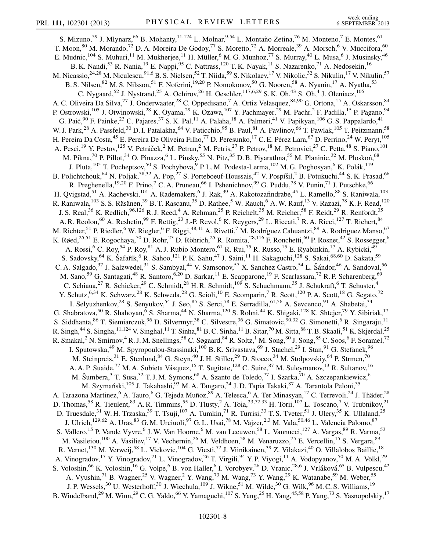S. Mizuno,<sup>59</sup> J. Mlynarz,<sup>66</sup> B. Mohanty,<sup>11,124</sup> L. Molnar,<sup>9,54</sup> L. Montaño Zetina,<sup>76</sup> M. Monteno,<sup>7</sup> E. Montes,<sup>61</sup> T. Moon,  $80$  M. Morando,  $72$  D. A. Moreira De Godoy,  $77$  S. Moretto,  $72$  A. Morreale,  $39$  A. Morsch,  $6$  V. Muccifora,  $60$ E. Mudnic,<sup>104</sup> S. Muhuri,<sup>11</sup> M. Mukherjee,<sup>11</sup> H. Müller,<sup>6</sup> M. G. Munhoz,<sup>77</sup> S. Murray,<sup>40</sup> L. Musa,<sup>6</sup> J. Musinsky,<sup>46</sup> B. K. Nandi,<sup>53</sup> R. Nania,<sup>19</sup> E. Nappi,<sup>95</sup> C. Nattrass,<sup>120</sup> T. K. Nayak,<sup>11</sup> S. Nazarenko,<sup>71</sup> A. Nedosekin,<sup>16</sup> M. Nicassio,<sup>24,28</sup> M. Niculescu,<sup>91,6</sup> B. S. Nielsen,<sup>52</sup> T. Niida,<sup>59</sup> S. Nikolaev,<sup>17</sup> V. Nikolic,<sup>32</sup> S. Nikulin,<sup>17</sup> V. Nikulin,<sup>57</sup> B. S. Nilsen,<sup>82</sup> M. S. Nilsson,<sup>51</sup> F. Noferini,<sup>19,20</sup> P. Nomokonov,<sup>50</sup> G. Nooren,<sup>58</sup> A. Nyanin,<sup>17</sup> A. Nyatha,<sup>53</sup> C. Nygaard,<sup>52</sup> J. Nystrand,<sup>25</sup> A. Ochirov,<sup>26</sup> H. Oeschler,<sup>117,6,29</sup> S. K. Oh,<sup>43</sup> S. Oh,<sup>4</sup> J. Oleniacz,<sup>105</sup> A. C. Oliveira Da Silva,<sup>77</sup> J. Onderwaater,<sup>28</sup> C. Oppedisano,<sup>7</sup> A. Ortiz Velasquez,<sup>84,90</sup> G. Ortona,<sup>15</sup> A. Oskarsson,<sup>84</sup> P. Ostrowski,<sup>105</sup> J. Otwinowski,<sup>28</sup> K. Oyama,<sup>29</sup> K. Ozawa,<sup>107</sup> Y. Pachmayer,<sup>29</sup> M. Pachr,<sup>2</sup> F. Padilla,<sup>15</sup> P. Pagano,<sup>94</sup> G. Paić, <sup>90</sup> F. Painke, <sup>23</sup> C. Pajares, <sup>37</sup> S. K. Pal, <sup>11</sup> A. Palaha, <sup>18</sup> A. Palmeri, <sup>41</sup> V. Papikyan, <sup>106</sup> G. S. Pappalardo, <sup>41</sup> W. J. Park,<sup>28</sup> A. Passfeld,<sup>30</sup> D. I. Patalakha,<sup>64</sup> V. Paticchio,<sup>95</sup> B. Paul,<sup>81</sup> A. Pavlinov,<sup>66</sup> T. Pawlak,<sup>105</sup> T. Peitzmann,<sup>58</sup> H. Pereira Da Costa,<sup>45</sup> E. Pereira De Oliveira Filho,<sup>77</sup> D. Peresunko,<sup>17</sup> C. E. Pérez Lara,<sup>67</sup> D. Perrino,<sup>24</sup> W. Peryt,<sup>105</sup> A. Pesci,<sup>19</sup> Y. Pestov,<sup>125</sup> V. Petráček,<sup>2</sup> M. Petran,<sup>2</sup> M. Petris,<sup>27</sup> P. Petrov,<sup>18</sup> M. Petrovici,<sup>27</sup> C. Petta,<sup>48</sup> S. Piano,<sup>101</sup> M. Pikna,<sup>70</sup> P. Pillot,<sup>34</sup> O. Pinazza,<sup>6</sup> L. Pinsky,<sup>55</sup> N. Pitz,<sup>35</sup> D. B. Piyarathna,<sup>55</sup> M. Planinic,<sup>32</sup> M. Płoskoń,<sup>68</sup> J. Pluta,<sup>105</sup> T. Pocheptsov,<sup>50</sup> S. Pochybova,<sup>9</sup> P.L. M. Podesta-Lerma,<sup>102</sup> M. G. Poghosyan,<sup>6</sup> K. Polák,<sup>119</sup> B. Polichtchouk,<sup>64</sup> N. Poljak,<sup>58,32</sup> A. Pop,<sup>27</sup> S. Porteboeuf-Houssais,<sup>42</sup> V. Pospíšil,<sup>2</sup> B. Potukuchi,<sup>44</sup> S. K. Prasad,<sup>66</sup> R. Preghenella,<sup>19,20</sup> F. Prino,<sup>7</sup> C. A. Pruneau,<sup>66</sup> I. Pshenichnov,<sup>99</sup> G. Puddu,<sup>78</sup> V. Punin,<sup>71</sup> J. Putschke,<sup>66</sup> H. Qvigstad,<sup>51</sup> A. Rachevski,<sup>101</sup> A. Rademakers,<sup>6</sup> J. Rak,<sup>39</sup> A. Rakotozafindrabe,<sup>45</sup> L. Ramello,<sup>88</sup> S. Raniwala,<sup>103</sup> R. Raniwala,<sup>103</sup> S. S. Räsänen,<sup>39</sup> B. T. Rascanu,<sup>35</sup> D. Rathee,<sup>5</sup> W. Rauch,<sup>6</sup> A. W. Rauf,<sup>13</sup> V. Razazi,<sup>78</sup> K. F. Read,<sup>120</sup> J. S. Real,<sup>36</sup> K. Redlich,<sup>96,126</sup> R. J. Reed,<sup>4</sup> A. Rehman,<sup>25</sup> P. Reichelt,<sup>35</sup> M. Reicher,<sup>58</sup> F. Reidt,<sup>29</sup> R. Renfordt,<sup>35</sup> A. R. Reolon,<sup>60</sup> A. Reshetin,<sup>99</sup> F. Rettig,<sup>23</sup> J.-P. Revol,<sup>6</sup> K. Reygers,<sup>29</sup> L. Riccati,<sup>7</sup> R. A. Ricci,<sup>127</sup> T. Richert,<sup>84</sup> M. Richter,<sup>51</sup> P. Riedler,<sup>6</sup> W. Riegler,<sup>6</sup> F. Riggi,<sup>48,41</sup> A. Rivetti,<sup>7</sup> M. Rodríguez Cahuantzi,<sup>89</sup> A. Rodriguez Manso,<sup>67</sup> K. Røed,<sup>25,51</sup> E. Rogochaya,<sup>50</sup> D. Rohr,<sup>23</sup> D. Röhrich,<sup>25</sup> R. Romita,<sup>28,116</sup> F. Ronchetti,<sup>60</sup> P. Rosnet,<sup>42</sup> S. Rossegger,<sup>6</sup> A. Rossi,<sup>6</sup> C. Roy,<sup>54</sup> P. Roy,<sup>81</sup> A. J. Rubio Montero,<sup>61</sup> R. Rui,<sup>75</sup> R. Russo,<sup>15</sup> E. Ryabinkin,<sup>17</sup> A. Rybicki,<sup>49</sup> S. Sadovsky,<sup>64</sup> K. Šafařík,<sup>6</sup> R. Sahoo,<sup>121</sup> P. K. Sahu,<sup>47</sup> J. Saini,<sup>11</sup> H. Sakaguchi,<sup>128</sup> S. Sakai,<sup>68,60</sup> D. Sakata,<sup>59</sup> C. A. Salgado,<sup>37</sup> J. Salzwedel,<sup>31</sup> S. Sambyal,<sup>44</sup> V. Samsonov,<sup>57</sup> X. Sanchez Castro,<sup>54</sup> L. Šándor,<sup>46</sup> A. Sandoval,<sup>56</sup> M. Sano,<sup>59</sup> G. Santagati,<sup>48</sup> R. Santoro,<sup>6,20</sup> D. Sarkar,<sup>11</sup> E. Scapparone,<sup>19</sup> F. Scarlassara,<sup>72</sup> R. P. Scharenberg,<sup>69</sup> C. Schiaua,<sup>27</sup> R. Schicker,<sup>29</sup> C. Schmidt,<sup>28</sup> H. R. Schmidt,<sup>109</sup> S. Schuchmann,<sup>35</sup> J. Schukraft,<sup>6</sup> T. Schuster,<sup>4</sup> Y. Schutz, <sup>6,34</sup> K. Schwarz, <sup>28</sup> K. Schweda, <sup>28</sup> G. Scioli, <sup>10</sup> E. Scomparin, <sup>7</sup> R. Scott, <sup>120</sup> P. A. Scott, <sup>18</sup> G. Segato, <sup>72</sup> I. Selyuzhenkov,<sup>28</sup> S. Senyukov,<sup>54</sup> J. Seo,<sup>85</sup> S. Serci,<sup>78</sup> E. Serradilla,<sup>61,56</sup> A. Sevcenco,<sup>91</sup> A. Shabetai,<sup>34</sup> G. Shabratova,<sup>50</sup> R. Shahoyan,<sup>6</sup> S. Sharma,<sup>44</sup> N. Sharma,<sup>120</sup> S. Rohni,<sup>44</sup> K. Shigaki,<sup>128</sup> K. Shtejer,<sup>79</sup> Y. Sibiriak,<sup>17</sup> S. Siddhanta, <sup>86</sup> T. Siemiarczuk, <sup>96</sup> D. Silvermyr, <sup>38</sup> C. Silvestre, <sup>36</sup> G. Simatovic, <sup>90,32</sup> G. Simonetti, <sup>6</sup> R. Singaraju, <sup>11</sup> R. Singh,<sup>44</sup> S. Singha,<sup>11,124</sup> V. Singhal,<sup>11</sup> T. Sinha,<sup>81</sup> B. C. Sinha,<sup>11</sup> B. Sitar,<sup>70</sup> M. Sitta,<sup>88</sup> T. B. Skaali,<sup>51</sup> K. Skjerdal,<sup>25</sup> R. Smakal,<sup>2</sup> N. Smirnov,<sup>4</sup> R. J. M. Snellings,<sup>58</sup> C. Søgaard,<sup>84</sup> R. Soltz,<sup>1</sup> M. Song,<sup>80</sup> J. Song,<sup>85</sup> C. Soos,<sup>6</sup> F. Soramel,<sup>72</sup> I. Sputowska,<sup>49</sup> M. Spyropoulou-Stassinaki,<sup>100</sup> B.K. Srivastava,<sup>69</sup> J. Stachel,<sup>29</sup> I. Stan,<sup>91</sup> G. Stefanek,<sup>96</sup> M. Steinpreis,<sup>31</sup> E. Stenlund,<sup>84</sup> G. Steyn,<sup>40</sup> J. H. Stiller,<sup>29</sup> D. Stocco,<sup>34</sup> M. Stolpovskiy,<sup>64</sup> P. Strmen,<sup>70</sup> A. A. P. Suaide,<sup>77</sup> M. A. Subieta Vásquez,<sup>15</sup> T. Sugitate,<sup>128</sup> C. Suire,<sup>87</sup> M. Suleymanov,<sup>13</sup> R. Sultanov,<sup>16</sup> M. Šumbera,<sup>3</sup> T. Susa,<sup>32</sup> T. J. M. Symons,<sup>68</sup> A. Szanto de Toledo,<sup>77</sup> I. Szarka,<sup>70</sup> A. Szczepankiewicz,<sup>6</sup> M. Szymański,<sup>105</sup> J. Takahashi,<sup>93</sup> M. A. Tangaro,<sup>24</sup> J. D. Tapia Takaki,<sup>87</sup> A. Tarantola Peloni,<sup>35</sup> A. Tarazona Martinez,<sup>6</sup> A. Tauro,<sup>6</sup> G. Tejeda Muñoz,<sup>89</sup> A. Telesca,<sup>6</sup> A. Ter Minasyan,<sup>17</sup> C. Terrevoli,<sup>24</sup> J. Thäder,<sup>28</sup> D. Thomas,<sup>58</sup> R. Tieulent,<sup>83</sup> A. R. Timmins,<sup>55</sup> D. Tlusty,<sup>2</sup> A. Toia,<sup>23,72,33</sup> H. Torii,<sup>107</sup> L. Toscano,<sup>7</sup> V. Trubnikov,<sup>21</sup> D. Truesdale,<sup>31</sup> W. H. Trzaska,<sup>39</sup> T. Tsuji,<sup>107</sup> A. Tumkin,<sup>71</sup> R. Turrisi,<sup>33</sup> T. S. Tveter,<sup>51</sup> J. Ulery,<sup>35</sup> K. Ullaland,<sup>25</sup> J. Ulrich,<sup>129,62</sup> A. Uras,<sup>83</sup> G. M. Urciuoli,<sup>97</sup> G. L. Usai,<sup>78</sup> M. Vajzer,<sup>2,3</sup> M. Vala,<sup>50,46</sup> L. Valencia Palomo,<sup>87</sup> S. Vallero,<sup>15</sup> P. Vande Vyvre,<sup>6</sup> J. W. Van Hoorne,<sup>6</sup> M. van Leeuwen,<sup>58</sup> L. Vannucci,<sup>127</sup> A. Vargas,<sup>89</sup> R. Varma,<sup>53</sup> M. Vasileiou,<sup>100</sup> A. Vasiliev,<sup>17</sup> V. Vechernin,<sup>26</sup> M. Veldhoen,<sup>58</sup> M. Venaruzzo,<sup>75</sup> E. Vercellin,<sup>15</sup> S. Vergara,<sup>89</sup> R. Vernet,<sup>130</sup> M. Verweij,<sup>58</sup> L. Vickovic,<sup>104</sup> G. Viesti,<sup>72</sup> J. Viinikainen,<sup>39</sup> Z. Vilakazi,<sup>40</sup> O. Villalobos Baillie,<sup>18</sup> A. Vinogradov,<sup>17</sup> Y. Vinogradov,<sup>71</sup> L. Vinogradov,<sup>26</sup> T. Virgili,<sup>94</sup> Y. P. Viyogi,<sup>11</sup> A. Vodopyanov,<sup>50</sup> M. A. Völkl,<sup>29</sup> S. Voloshin,<sup>66</sup> K. Voloshin,<sup>16</sup> G. Volpe,<sup>6</sup> B. von Haller,<sup>6</sup> I. Vorobyev,<sup>26</sup> D. Vranic,<sup>28,6</sup> J. Vrláková,<sup>65</sup> B. Vulpescu,<sup>42</sup> A. Vyushin,<sup>71</sup> B. Wagner,<sup>25</sup> V. Wagner,<sup>2</sup> Y. Wang,<sup>73</sup> M. Wang,<sup>73</sup> Y. Wang,<sup>29</sup> K. Watanabe,<sup>59</sup> M. Weber,<sup>55</sup> J. P. Wessels,<sup>30</sup> U. Westerhoff,<sup>30</sup> J. Wiechula,<sup>109</sup> J. Wikne,<sup>51</sup> M. Wilde,<sup>30</sup> G. Wilk,<sup>96</sup> M. C. S. Williams,<sup>19</sup> B. Windelband,<sup>29</sup> M. Winn,<sup>29</sup> C. G. Yaldo,<sup>66</sup> Y. Yamaguchi,<sup>107</sup> S. Yang,<sup>25</sup> H. Yang,<sup>45,58</sup> P. Yang,<sup>73</sup> S. Yasnopolskiy,<sup>17</sup>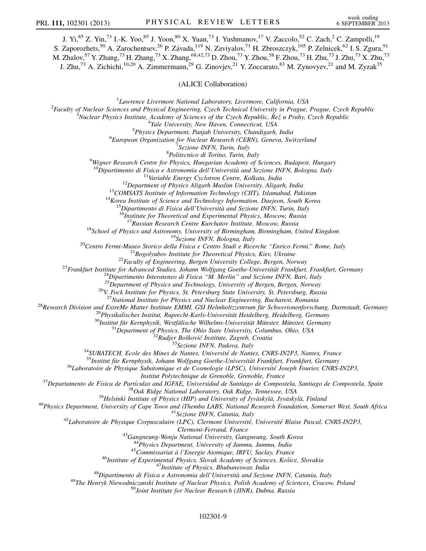J. Yi,<sup>85</sup> Z. Yin,<sup>73</sup> I.-K. Yoo,<sup>85</sup> J. Yoon,<sup>80</sup> X. Yuan,<sup>73</sup> I. Yushmanov,<sup>17</sup> V. Zaccolo,<sup>52</sup> C. Zach,<sup>2</sup> C. Zampolli,<sup>19</sup> S. Zaporozhets,<sup>50</sup> A. Zarochentsev,<sup>26</sup> P. Závada,<sup>119</sup> N. Zaviyalov,<sup>71</sup> H. Zbroszczyk,<sup>105</sup> P. Zelnicek,<sup>62</sup> I. S. Zgura,<sup>91</sup> M. Zhalov, $^{57}$  Y. Zhang, $^{73}$  H. Zhang, $^{73}$  X. Zhang, $^{68,42,73}$  D. Zhou, $^{73}$  Y. Zhou, $^{58}$  F. Zhou, $^{73}$  H. Zhu, $^{73}$  J. Zhu, $^{73}$  X. Zhu, $^{73}$ J. Zhu,<sup>73</sup> A. Zichichi,<sup>10,20</sup> A. Zimmermann,<sup>29</sup> G. Zinovjev,<sup>21</sup> Y. Zoccarato,<sup>83</sup> M. Zynovyev,<sup>21</sup> and M. Zyzak<sup>35</sup>

(ALICE Collaboration)

 ${}^{1}$ Lawrence Livermore National Laboratory, Livermore, California, USA <sup>1</sup>Lawrence Livermore National Laboratory, Livermore, California, USA<br><sup>2</sup>Eaculty of Nuclear Sciences and Physical Engineering, Czech Technical University in Prague

Faculty of Nuclear Sciences and Physical Engineering, Czech Technical University in Prague, Prague, Czech Republic<br><sup>3</sup>Nuclear Physics Institute, Academy of Sciences of the Czech Republic, Peă y Prahy Czech Republic

 $N$ uclear Physics Institute, Academy of Sciences of the Czech Republic,  $\check{R}$ ež u Prahy, Czech Republic

<sup>4</sup>Yale University, New Haven, Connecticut, USA

 $5$ Physics Department, Panjab University, Chandigarh, India

 ${}^{6}$ European Organization for Nuclear Research (CERN), Geneva, Switzerland

<sup>7</sup>Sezione INFN, Turin, Italy *<sup>8</sup>Politecnico di Torino, Turin, Italy* 

<sup>8</sup>Politecnico di Torino, Turin, Italy<br><sup>9</sup>Wigner Research Centre for Physics, Hungarian Academy of Sciences, Budapest, Hungary

<sup>10</sup>Dipartimento di Fisica e Astronomia dell'Università and Sezione INFN, Bologna, Italy<br><sup>11</sup>Variable Energy Cyclotron Centre, Kolkata, India<br><sup>12</sup>Department of Physics Aligarh Muslim University, Aligarh, India<br><sup>13</sup>COMSATS

<sup>18</sup>School of Physics and Astronomy, University of Birmingham, Birmingham, United Kingdom<br><sup>19</sup>Sezione INFN, Bologna, Italy<br><sup>20</sup>Centro Fermi-Museo Storico della Fisica e Centro Studi e Ricerche "Enrico Fermi," Rome, Italy<br>

<sup>26</sup>V. Fock Institute for Physics, St. Petersburg State University, St. Petersburg, Russia<sup>27</sup>National Institute for Physics and Nuclear Engineering, Bucharest, Romania

<sup>27</sup>National Institute for Physics and Nuclear Engineering, Bucharest, Romania<br><sup>28</sup>Research Division and ExtreMe Matter Institute EMMI, GSI Helmholtzzentrum für Schwerionenforschung, Darmstadt, Germany<br><sup>29</sup>Physikalisches

Institut Polytechnique de Grenoble, Grenoble, France<br><sup>37</sup>Departamento de Física de Partículas and IGFAE, Universidad de Santiago de Compostela, Santiago de Compostela, Spain<br><sup>38</sup>Oak Ridge National Laboratory, Oak Ridge, T

Clermont-Ferrand, France<br>
<sup>43</sup>Gangneung-Wonju National University, Gangneung, South Korea<br>
<sup>44</sup>Physics Department, University of Jammu, Jammu, India<br>
<sup>45</sup>Commissariat à l'Energie Atomique, IRFU, Saclay, France<br>
<sup>46</sup>Institu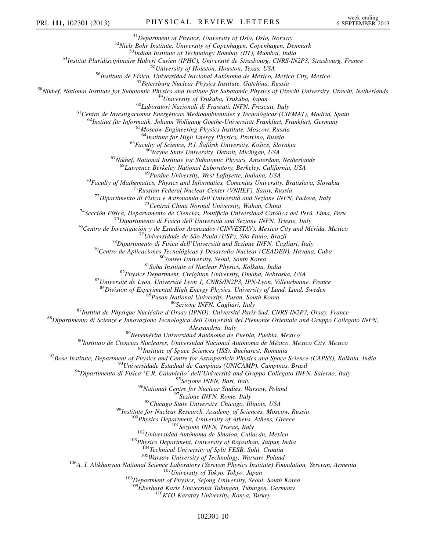$\begin{array}{c} \text{^{51}Department of Physics, University of Oslo, Oslo, Norway} \\ \text{^{52}Niels Bohr Institute, University of Copenhagen, Copenhagen, Denmark} \\ \text{^{53}Indian Institute of Technology Bombagn, Chapman, Denmark} \\ \text{^{54}Insitinu Pluridisciplinaire Hubert Curien (IPHC), University of Houston, Texas, USA \\ \text{^{55}University of Houston, Houston, Texas, USA} \\ \text{^{56}Instituto de Física, University of Houston, Houston, Texas, USA} \\ \text{^{57}Petersburg Nuclear Physics and Institute for Subatomic and Aufonoma de México, Mexico City, Mexico} \\ \text{^{57}Petersburg Nuclear Physics, and Institute for Subatomic Physics, and Institute for Subatomic Physics of Urecht University, Utrecht, Netherlands} \\$ <sup>64</sup>Institute for High Energy Physics, Protvino, Russia<br><sup>65</sup>Faculty of Science, P.J. Šafárik University, Košice, Slovakia<br><sup>66</sup>Wayne State University, Detroit, Michigan, USA<br><sup>67</sup>Nikhef, National Institute for Subatomic Phy <sup>68</sup>Lawrence Berkeley National Laboratory, Berkeley, California, USA<br>
<sup>68</sup> Lawrence Berkeley National Laboratory, Berkeley, California, USA<br>
<sup>79</sup> Paculty of Mathematics. Physics and Informatics, Comenius University, Brati  $\begin{array}{r} \begin{array}{r} \begin{array}{r} \text{89} \end{array} \begin{array}{r} \text{89} \end{array} \begin{array}{r} \text{89} \end{array} \begin{array}{r} \text{89} \end{array} \begin{array}{r} \text{50} \end{array} \begin{array}{r} \text{81} \end{array} \begin{array}{r} \text{81} \end{array} \begin{array}{r} \text{81} \end{array} \begin{array}{r} \text{81} \end{array} \begin{array}{r} \text{81} \end{array} \begin{r} \text{81} \end{array} \begin{array}{r} \text{$ <sup>108</sup>Department of Physics, Sejong University, Seoul, South Korea<sup>109</sup>Eberhard Karls Universität Tübingen, Tübingen, Germany <sup>110</sup>KTO Karatay University, Konya, Turkey

102301-10